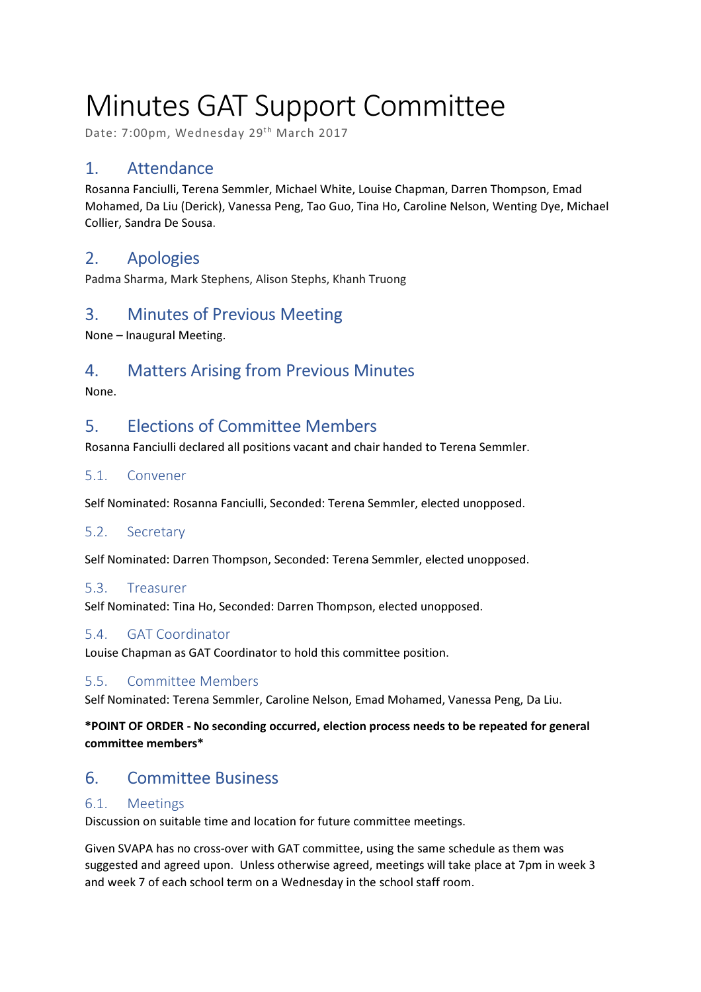# Minutes GAT Support Committee

Date: 7:00pm, Wednesday 29th March 2017

# 1. Attendance

Rosanna Fanciulli, Terena Semmler, Michael White, Louise Chapman, Darren Thompson, Emad Mohamed, Da Liu (Derick), Vanessa Peng, Tao Guo, Tina Ho, Caroline Nelson, Wenting Dye, Michael Collier, Sandra De Sousa.

# 2. Apologies

Padma Sharma, Mark Stephens, Alison Stephs, Khanh Truong

## 3. Minutes of Previous Meeting

None – Inaugural Meeting.

## 4. Matters Arising from Previous Minutes

None.

## 5. Elections of Committee Members

Rosanna Fanciulli declared all positions vacant and chair handed to Terena Semmler.

#### 5.1. Convener

Self Nominated: Rosanna Fanciulli, Seconded: Terena Semmler, elected unopposed.

#### 5.2. Secretary

Self Nominated: Darren Thompson, Seconded: Terena Semmler, elected unopposed.

#### 5.3. Treasurer

Self Nominated: Tina Ho, Seconded: Darren Thompson, elected unopposed.

### 5.4. GAT Coordinator

Louise Chapman as GAT Coordinator to hold this committee position.

#### 5.5. Committee Members

Self Nominated: Terena Semmler, Caroline Nelson, Emad Mohamed, Vanessa Peng, Da Liu.

#### \*POINT OF ORDER - No seconding occurred, election process needs to be repeated for general committee members\*

# 6. Committee Business

### 6.1. Meetings

Discussion on suitable time and location for future committee meetings.

Given SVAPA has no cross-over with GAT committee, using the same schedule as them was suggested and agreed upon. Unless otherwise agreed, meetings will take place at 7pm in week 3 and week 7 of each school term on a Wednesday in the school staff room.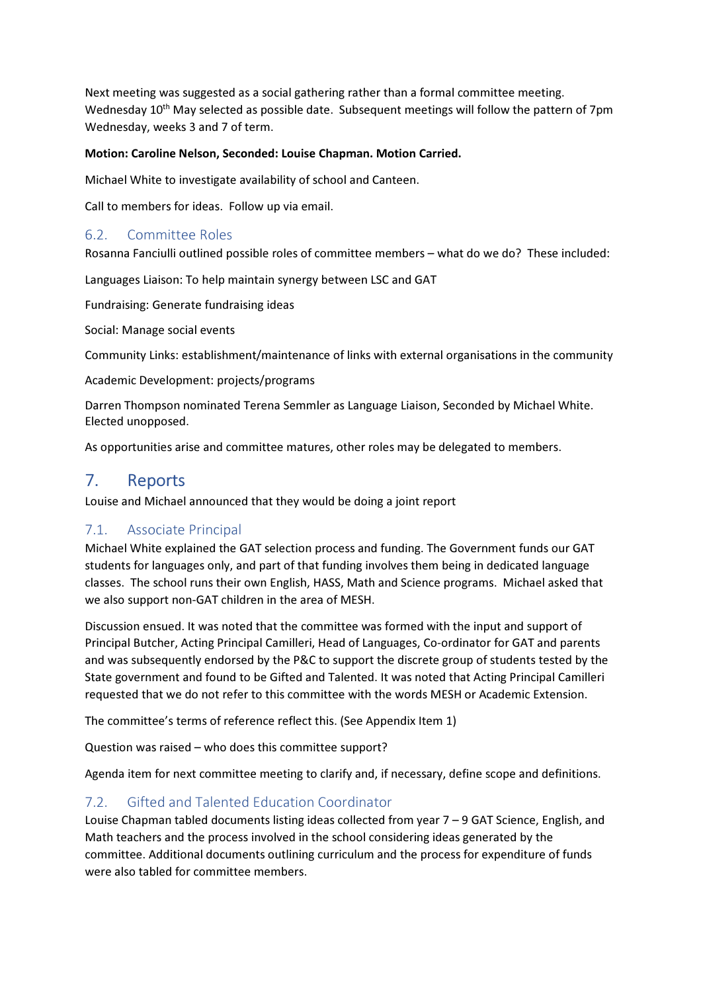Next meeting was suggested as a social gathering rather than a formal committee meeting. Wednesday 10<sup>th</sup> May selected as possible date. Subsequent meetings will follow the pattern of 7pm Wednesday, weeks 3 and 7 of term.

#### Motion: Caroline Nelson, Seconded: Louise Chapman. Motion Carried.

Michael White to investigate availability of school and Canteen.

Call to members for ideas. Follow up via email.

#### 6.2. Committee Roles

Rosanna Fanciulli outlined possible roles of committee members – what do we do? These included:

Languages Liaison: To help maintain synergy between LSC and GAT

Fundraising: Generate fundraising ideas

Social: Manage social events

Community Links: establishment/maintenance of links with external organisations in the community

Academic Development: projects/programs

Darren Thompson nominated Terena Semmler as Language Liaison, Seconded by Michael White. Elected unopposed.

As opportunities arise and committee matures, other roles may be delegated to members.

## 7. Reports

Louise and Michael announced that they would be doing a joint report

#### 7.1. Associate Principal

Michael White explained the GAT selection process and funding. The Government funds our GAT students for languages only, and part of that funding involves them being in dedicated language classes. The school runs their own English, HASS, Math and Science programs. Michael asked that we also support non-GAT children in the area of MESH.

Discussion ensued. It was noted that the committee was formed with the input and support of Principal Butcher, Acting Principal Camilleri, Head of Languages, Co-ordinator for GAT and parents and was subsequently endorsed by the P&C to support the discrete group of students tested by the State government and found to be Gifted and Talented. It was noted that Acting Principal Camilleri requested that we do not refer to this committee with the words MESH or Academic Extension.

The committee's terms of reference reflect this. (See Appendix Item 1)

Question was raised – who does this committee support?

Agenda item for next committee meeting to clarify and, if necessary, define scope and definitions.

### 7.2. Gifted and Talented Education Coordinator

Louise Chapman tabled documents listing ideas collected from year 7 – 9 GAT Science, English, and Math teachers and the process involved in the school considering ideas generated by the committee. Additional documents outlining curriculum and the process for expenditure of funds were also tabled for committee members.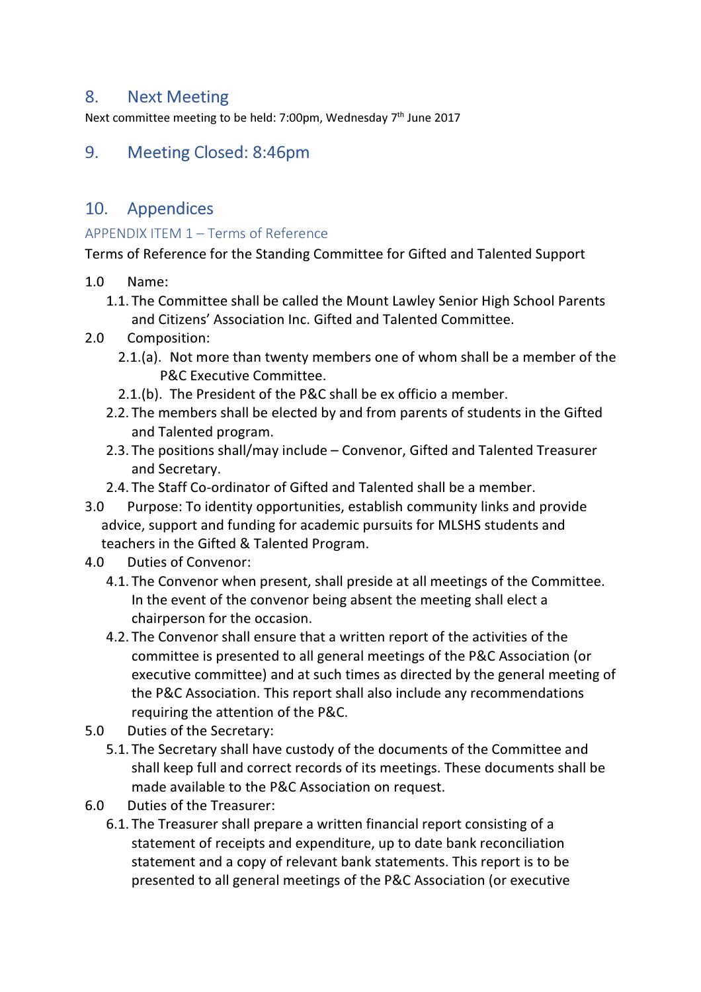## 8. Next Meeting

Next committee meeting to be held: 7:00pm, Wednesday  $7<sup>th</sup>$  June 2017

## 9. Meeting Closed: 8:46pm

## 10. Appendices

## APPENDIX ITEM 1 – Terms of Reference

Terms of Reference for the Standing Committee for Gifted and Talented Support

- 1.0 Name:
	- 1.1. The Committee shall be called the Mount Lawley Senior High School Parents and Citizens' Association Inc. Gifted and Talented Committee.
- 2.0 Composition:
	- 2.1.(a). Not more than twenty members one of whom shall be a member of the P&C Executive Committee.
	- 2.1.(b). The President of the P&C shall be ex officio a member.
	- 2.2. The members shall be elected by and from parents of students in the Gifted and Talented program.
	- 2.3. The positions shall/may include Convenor, Gifted and Talented Treasurer and Secretary.
	- 2.4. The Staff Co-ordinator of Gifted and Talented shall be a member.
- 3.0 Purpose: To identity opportunities, establish community links and provide advice, support and funding for academic pursuits for MLSHS students and teachers in the Gifted & Talented Program.
- 4.0 Duties of Convenor:
	- 4.1. The Convenor when present, shall preside at all meetings of the Committee. In the event of the convenor being absent the meeting shall elect a chairperson for the occasion.
	- 4.2. The Convenor shall ensure that a written report of the activities of the committee is presented to all general meetings of the P&C Association (or executive committee) and at such times as directed by the general meeting of the P&C Association. This report shall also include any recommendations requiring the attention of the P&C.
- 5.0 Duties of the Secretary:
	- 5.1. The Secretary shall have custody of the documents of the Committee and shall keep full and correct records of its meetings. These documents shall be made available to the P&C Association on request.
- 6.0 Duties of the Treasurer:
	- 6.1. The Treasurer shall prepare a written financial report consisting of a statement of receipts and expenditure, up to date bank reconciliation statement and a copy of relevant bank statements. This report is to be presented to all general meetings of the P&C Association (or executive